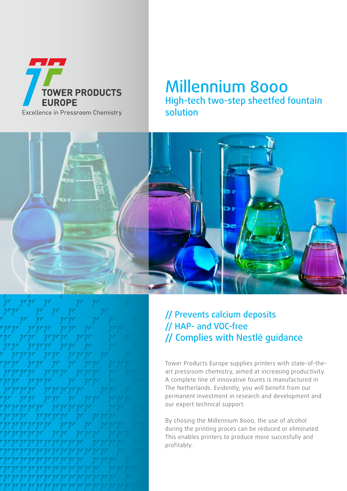

## Millennium 8000 High-tech two-step sheetfed fountain solution



### // Prevents calcium deposits // HAP- and VOC-free // Complies with Nestlé guidance

Tower Products Europe supplies printers with state-of-theart pressroom chemistry, aimed at increasing productivity. A complete line of innovative founts is manufactured in The Netherlands. Evidently, you will benefit from our permanent investment in research and development and our expert technical support.

By chosing the Millennium 8000, the use of alcohol during the printing proces can be reduced or eliminated. This enables printers to produce more succesfully and profitably.